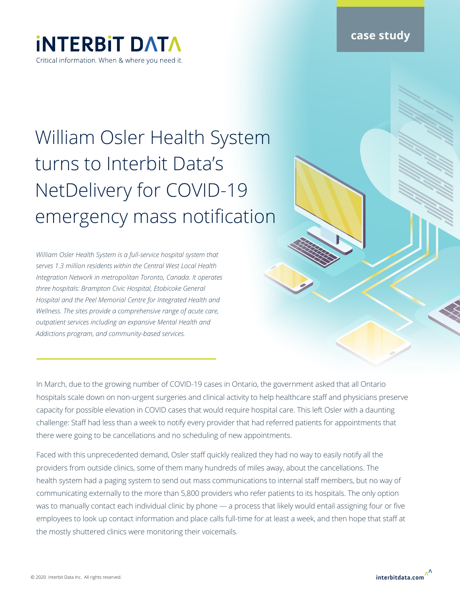**case study**

## **INTERBIT DATA** Critical information. When & where you need it.

## William Osler Health System turns to Interbit Data's NetDelivery for COVID-19 emergency mass notification

*William Osler Health System is a full-service hospital system that serves 1.3 million residents within the Central West Local Health Integration Network in metropolitan Toronto, Canada. It operates three hospitals: Brampton Civic Hospital, Etobicoke General Hospital and the Peel Memorial Centre for Integrated Health and Wellness. The sites provide a comprehensive range of acute care, outpatient services including an expansive Mental Health and Addictions program, and community-based services.*

In March, due to the growing number of COVID-19 cases in Ontario, the government asked that all Ontario hospitals scale down on non-urgent surgeries and clinical activity to help healthcare staff and physicians preserve capacity for possible elevation in COVID cases that would require hospital care. This left Osler with a daunting challenge: Staff had less than a week to notify every provider that had referred patients for appointments that there were going to be cancellations and no scheduling of new appointments.

Faced with this unprecedented demand, Osler staff quickly realized they had no way to easily notify all the providers from outside clinics, some of them many hundreds of miles away, about the cancellations. The health system had a paging system to send out mass communications to internal staff members, but no way of communicating externally to the more than 5,800 providers who refer patients to its hospitals. The only option was to manually contact each individual clinic by phone — a process that likely would entail assigning four or five employees to look up contact information and place calls full-time for at least a week, and then hope that staff at the mostly shuttered clinics were monitoring their voicemails.

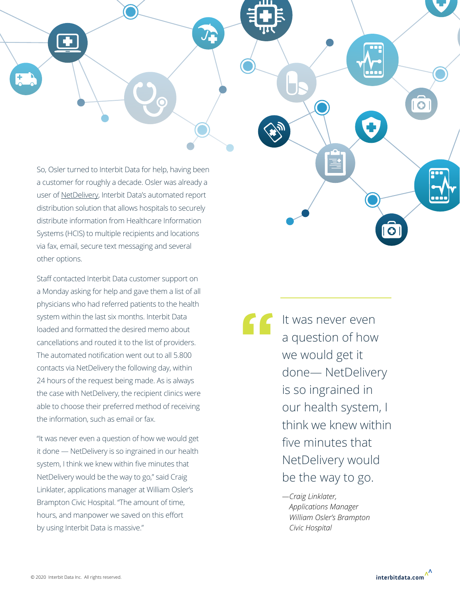So, Osler turned to Interbit Data for help, having been a customer for roughly a decade. Osler was already a user of [NetDelivery,](https://interbitdata.com/netdelivery/) Interbit Data's automated report distribution solution that allows hospitals to securely distribute information from Healthcare Information Systems (HCIS) to multiple recipients and locations via fax, email, secure text messaging and several other options.

Staff contacted Interbit Data customer support on a Monday asking for help and gave them a list of all physicians who had referred patients to the health system within the last six months. Interbit Data loaded and formatted the desired memo about cancellations and routed it to the list of providers. The automated notification went out to all 5.800 contacts via NetDelivery the following day, within 24 hours of the request being made. As is always the case with NetDelivery, the recipient clinics were able to choose their preferred method of receiving the information, such as email or fax.

"It was never even a question of how we would get it done — NetDelivery is so ingrained in our health system, I think we knew within five minutes that NetDelivery would be the way to go," said Craig Linklater, applications manager at William Osler's Brampton Civic Hospital. "The amount of time, hours, and manpower we saved on this effort by using Interbit Data is massive."

It was never even a question of how we would get it done— NetDelivery is so ingrained in our health system, I think we knew within five minutes that NetDelivery would be the way to go. **"**

> *—Craig Linklater, Applications Manager William Osler's Brampton Civic Hospital*